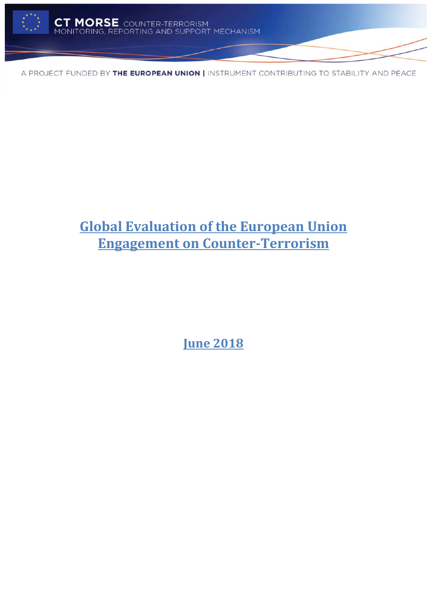

# **Global Evaluation of the European Union Engagement on Counter-Terrorism**

**June 2018**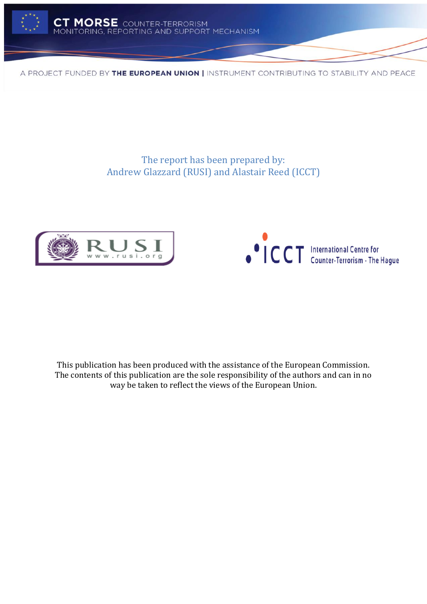

The report has been prepared by: Andrew Glazzard (RUSI) and Alastair Reed (ICCT)





This publication has been produced with the assistance of the European Commission. The contents of this publication are the sole responsibility of the authors and can in no way be taken to reflect the views of the European Union.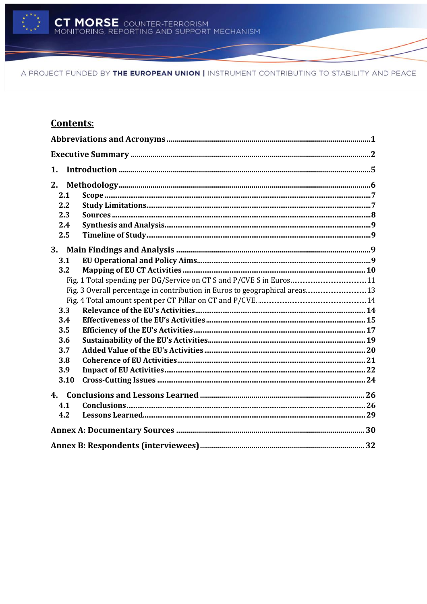

# **Contents:**

| 1.   |  |  |  |
|------|--|--|--|
| 2.   |  |  |  |
| 2.1  |  |  |  |
| 2.2  |  |  |  |
| 2.3  |  |  |  |
| 2.4  |  |  |  |
| 2.5  |  |  |  |
| 3.   |  |  |  |
| 3.1  |  |  |  |
| 3.2  |  |  |  |
|      |  |  |  |
|      |  |  |  |
|      |  |  |  |
| 3.3  |  |  |  |
| 3.4  |  |  |  |
| 3.5  |  |  |  |
| 3.6  |  |  |  |
| 3.7  |  |  |  |
| 3.8  |  |  |  |
| 3.9  |  |  |  |
| 3.10 |  |  |  |
|      |  |  |  |
| 4.1  |  |  |  |
| 4.2  |  |  |  |
|      |  |  |  |
|      |  |  |  |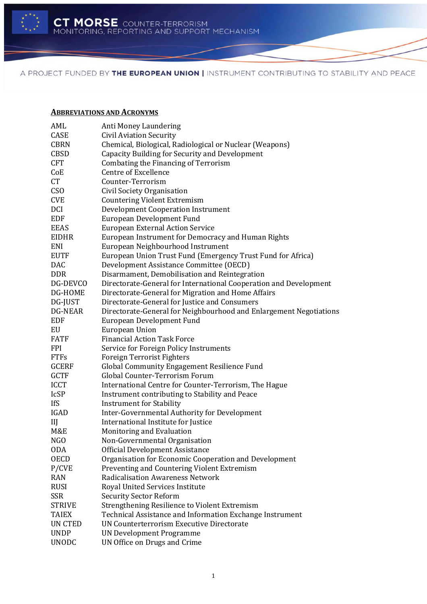

#### <span id="page-3-0"></span>**ABBREVIATIONS AND ACRONYMS**

| AML              | Anti Money Laundering                                              |
|------------------|--------------------------------------------------------------------|
| CASE             | <b>Civil Aviation Security</b>                                     |
| <b>CBRN</b>      | Chemical, Biological, Radiological or Nuclear (Weapons)            |
| <b>CBSD</b>      | Capacity Building for Security and Development                     |
| <b>CFT</b>       | Combating the Financing of Terrorism                               |
| CoE              | <b>Centre of Excellence</b>                                        |
| CT               | Counter-Terrorism                                                  |
| CS <sub>O</sub>  | Civil Society Organisation                                         |
| <b>CVE</b>       | <b>Countering Violent Extremism</b>                                |
| DCI              | <b>Development Cooperation Instrument</b>                          |
| EDF              | <b>European Development Fund</b>                                   |
| <b>EEAS</b>      | <b>European External Action Service</b>                            |
| EIDHR            | European Instrument for Democracy and Human Rights                 |
| ENI              | European Neighbourhood Instrument                                  |
| <b>EUTF</b>      | European Union Trust Fund (Emergency Trust Fund for Africa)        |
| <b>DAC</b>       | Development Assistance Committee (OECD)                            |
| <b>DDR</b>       | Disarmament, Demobilisation and Reintegration                      |
| DG-DEVCO         | Directorate-General for International Cooperation and Development  |
| DG-HOME          | Directorate-General for Migration and Home Affairs                 |
| DG-JUST          | Directorate-General for Justice and Consumers                      |
| <b>DG-NEAR</b>   | Directorate-General for Neighbourhood and Enlargement Negotiations |
| <b>EDF</b>       | European Development Fund                                          |
| EU               | <b>European Union</b>                                              |
| <b>FATF</b>      | <b>Financial Action Task Force</b>                                 |
| <b>FPI</b>       | Service for Foreign Policy Instruments                             |
| <b>FTFs</b>      | <b>Foreign Terrorist Fighters</b>                                  |
| <b>GCERF</b>     | Global Community Engagement Resilience Fund                        |
| <b>GCTF</b>      | Global Counter-Terrorism Forum                                     |
| <b>ICCT</b>      | International Centre for Counter-Terrorism, The Hague              |
| <b>IcSP</b>      | Instrument contributing to Stability and Peace                     |
| <b>IfS</b>       | <b>Instrument for Stability</b>                                    |
| <b>IGAD</b>      | Inter-Governmental Authority for Development                       |
| III              | International Institute for Justice                                |
| M&E              | Monitoring and Evaluation                                          |
| N <sub>G</sub> O | Non-Governmental Organisation                                      |
| 0DA              | <b>Official Development Assistance</b>                             |
| <b>OECD</b>      | Organisation for Economic Cooperation and Development              |
| P/CVE            | Preventing and Countering Violent Extremism                        |
| <b>RAN</b>       | <b>Radicalisation Awareness Network</b>                            |
| <b>RUSI</b>      | Royal United Services Institute                                    |
| SSR              | <b>Security Sector Reform</b>                                      |
| <b>STRIVE</b>    | Strengthening Resilience to Violent Extremism                      |
| <b>TAIEX</b>     | Technical Assistance and Information Exchange Instrument           |
| <b>UN CTED</b>   | UN Counterterrorism Executive Directorate                          |
| <b>UNDP</b>      | <b>UN Development Programme</b>                                    |
| <b>UNODC</b>     | UN Office on Drugs and Crime                                       |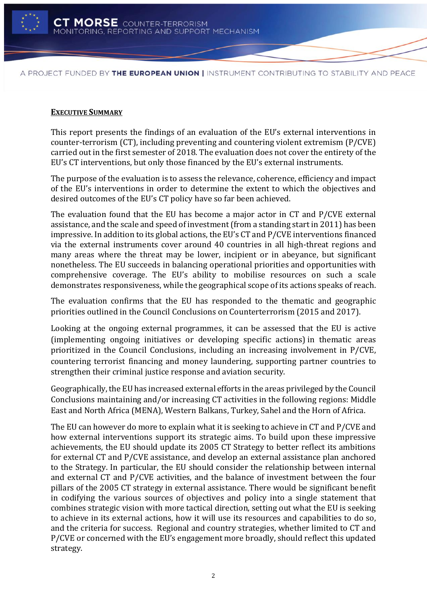

#### <span id="page-4-0"></span>**EXECUTIVE SUMMARY**

This report presents the findings of an evaluation of the EU's external interventions in counter-terrorism (CT), including preventing and countering violent extremism (P/CVE) carried out in the first semester of 2018. The evaluation does not cover the entirety of the EU's CT interventions, but only those financed by the EU's external instruments.

The purpose of the evaluation is to assess the relevance, coherence, efficiency and impact of the EU's interventions in order to determine the extent to which the objectives and desired outcomes of the EU's CT policy have so far been achieved.

The evaluation found that the EU has become a major actor in CT and P/CVE external assistance, and the scale and speed of investment (from a standing start in 2011) has been impressive. In addition to its global actions, the EU's CT and P/CVE interventions financed via the external instruments cover around 40 countries in all high-threat regions and many areas where the threat may be lower, incipient or in abeyance, but significant nonetheless. The EU succeeds in balancing operational priorities and opportunities with comprehensive coverage. The EU's ability to mobilise resources on such a scale demonstrates responsiveness, while the geographical scope of its actions speaks of reach.

The evaluation confirms that the EU has responded to the thematic and geographic priorities outlined in the Council Conclusions on Counterterrorism (2015 and 2017).

Looking at the ongoing external programmes, it can be assessed that the EU is active (implementing ongoing initiatives or developing specific actions) in thematic areas prioritized in the Council Conclusions, including an increasing involvement in P/CVE, countering terrorist financing and money laundering, supporting partner countries to strengthen their criminal justice response and aviation security.

Geographically, the EU has increased external efforts in the areas privileged by the Council Conclusions maintaining and/or increasing CT activities in the following regions: Middle East and North Africa (MENA), Western Balkans, Turkey, Sahel and the Horn of Africa.

The EU can however do more to explain what it is seeking to achieve in CT and P/CVE and how external interventions support its strategic aims. To build upon these impressive achievements, the EU should update its 2005 CT Strategy to better reflect its ambitions for external CT and P/CVE assistance, and develop an external assistance plan anchored to the Strategy. In particular, the EU should consider the relationship between internal and external CT and P/CVE activities, and the balance of investment between the four pillars of the 2005 CT strategy in external assistance. There would be significant benefit in codifying the various sources of objectives and policy into a single statement that combines strategic vision with more tactical direction, setting out what the EU is seeking to achieve in its external actions, how it will use its resources and capabilities to do so, and the criteria for success. Regional and country strategies, whether limited to CT and P/CVE or concerned with the EU's engagement more broadly, should reflect this updated strategy.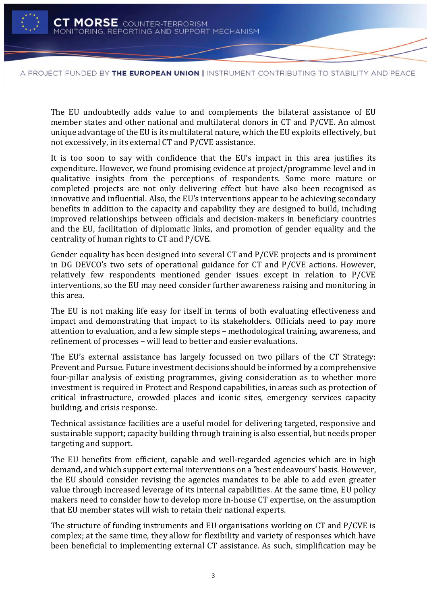

The EU undoubtedly adds value to and complements the bilateral assistance of EU member states and other national and multilateral donors in CT and P/CVE. An almost unique advantage of the EU is its multilateral nature, which the EU exploits effectively, but not excessively, in its external CT and P/CVE assistance.

It is too soon to say with confidence that the EU's impact in this area justifies its expenditure. However, we found promising evidence at project/programme level and in qualitative insights from the perceptions of respondents. Some more mature or completed projects are not only delivering effect but have also been recognised as innovative and influential. Also, the EU's interventions appear to be achieving secondary benefits in addition to the capacity and capability they are designed to build, including improved relationships between officials and decision-makers in beneficiary countries and the EU, facilitation of diplomatic links, and promotion of gender equality and the centrality of human rights to CT and P/CVE.

Gender equality has been designed into several CT and P/CVE projects and is prominent in DG DEVCO's two sets of operational guidance for CT and P/CVE actions. However, relatively few respondents mentioned gender issues except in relation to P/CVE interventions, so the EU may need consider further awareness raising and monitoring in this area.

The EU is not making life easy for itself in terms of both evaluating effectiveness and impact and demonstrating that impact to its stakeholders. Officials need to pay more attention to evaluation, and a few simple steps – methodological training, awareness, and refinement of processes – will lead to better and easier evaluations.

The EU's external assistance has largely focussed on two pillars of the CT Strategy: Prevent and Pursue. Future investment decisions should be informed by a comprehensive four-pillar analysis of existing programmes, giving consideration as to whether more investment is required in Protect and Respond capabilities, in areas such as protection of critical infrastructure, crowded places and iconic sites, emergency services capacity building, and crisis response.

Technical assistance facilities are a useful model for delivering targeted, responsive and sustainable support; capacity building through training is also essential, but needs proper targeting and support.

The EU benefits from efficient, capable and well-regarded agencies which are in high demand, and which support external interventions on a 'best endeavours' basis. However, the EU should consider revising the agencies mandates to be able to add even greater value through increased leverage of its internal capabilities. At the same time, EU policy makers need to consider how to develop more in-house CT expertise, on the assumption that EU member states will wish to retain their national experts.

The structure of funding instruments and EU organisations working on CT and P/CVE is complex; at the same time, they allow for flexibility and variety of responses which have been beneficial to implementing external CT assistance. As such, simplification may be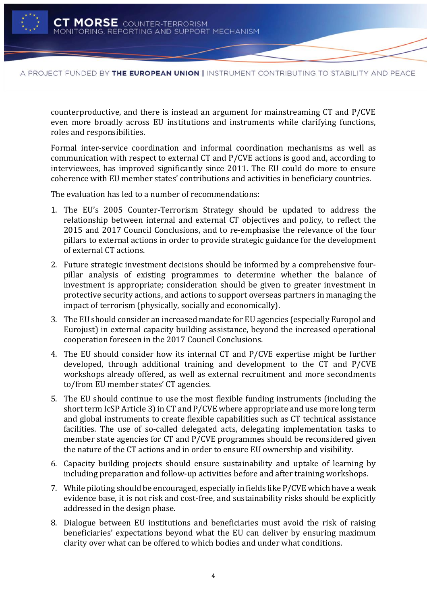

counterproductive, and there is instead an argument for mainstreaming CT and P/CVE even more broadly across EU institutions and instruments while clarifying functions, roles and responsibilities.

Formal inter-service coordination and informal coordination mechanisms as well as communication with respect to external CT and P/CVE actions is good and, according to interviewees, has improved significantly since 2011. The EU could do more to ensure coherence with EU member states' contributions and activities in beneficiary countries.

The evaluation has led to a number of recommendations:

- 1. The EU's 2005 Counter-Terrorism Strategy should be updated to address the relationship between internal and external CT objectives and policy, to reflect the 2015 and 2017 Council Conclusions, and to re-emphasise the relevance of the four pillars to external actions in order to provide strategic guidance for the development of external CT actions.
- 2. Future strategic investment decisions should be informed by a comprehensive fourpillar analysis of existing programmes to determine whether the balance of investment is appropriate; consideration should be given to greater investment in protective security actions, and actions to support overseas partners in managing the impact of terrorism (physically, socially and economically).
- 3. The EU should consider an increased mandate for EU agencies (especially Europol and Eurojust) in external capacity building assistance, beyond the increased operational cooperation foreseen in the 2017 Council Conclusions.
- 4. The EU should consider how its internal CT and P/CVE expertise might be further developed, through additional training and development to the CT and P/CVE workshops already offered, as well as external recruitment and more secondments to/from EU member states' CT agencies.
- 5. The EU should continue to use the most flexible funding instruments (including the short term IcSP Article 3) in CT and P/CVE where appropriate and use more long term and global instruments to create flexible capabilities such as CT technical assistance facilities. The use of so-called delegated acts, delegating implementation tasks to member state agencies for CT and P/CVE programmes should be reconsidered given the nature of the CT actions and in order to ensure EU ownership and visibility.
- 6. Capacity building projects should ensure sustainability and uptake of learning by including preparation and follow-up activities before and after training workshops.
- 7. While piloting should be encouraged, especially in fields like P/CVE which have a weak evidence base, it is not risk and cost-free, and sustainability risks should be explicitly addressed in the design phase.
- 8. Dialogue between EU institutions and beneficiaries must avoid the risk of raising beneficiaries' expectations beyond what the EU can deliver by ensuring maximum clarity over what can be offered to which bodies and under what conditions.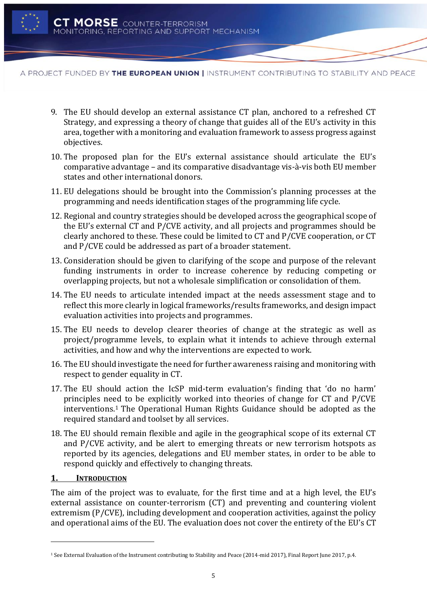

- 9. The EU should develop an external assistance CT plan, anchored to a refreshed CT Strategy, and expressing a theory of change that guides all of the EU's activity in this area, together with a monitoring and evaluation framework to assess progress against objectives.
- 10. The proposed plan for the EU's external assistance should articulate the EU's comparative advantage – and its comparative disadvantage vis-à-vis both EU member states and other international donors.
- 11. EU delegations should be brought into the Commission's planning processes at the programming and needs identification stages of the programming life cycle.
- 12. Regional and country strategies should be developed across the geographical scope of the EU's external CT and P/CVE activity, and all projects and programmes should be clearly anchored to these. These could be limited to CT and P/CVE cooperation, or CT and P/CVE could be addressed as part of a broader statement.
- 13. Consideration should be given to clarifying of the scope and purpose of the relevant funding instruments in order to increase coherence by reducing competing or overlapping projects, but not a wholesale simplification or consolidation of them.
- 14. The EU needs to articulate intended impact at the needs assessment stage and to reflect this more clearly in logical frameworks/results frameworks, and design impact evaluation activities into projects and programmes.
- 15. The EU needs to develop clearer theories of change at the strategic as well as project/programme levels, to explain what it intends to achieve through external activities, and how and why the interventions are expected to work.
- 16. The EU should investigate the need for further awareness raising and monitoring with respect to gender equality in CT.
- 17. The EU should action the IcSP mid-term evaluation's finding that 'do no harm' principles need to be explicitly worked into theories of change for CT and P/CVE interventions.<sup>1</sup> The Operational Human Rights Guidance should be adopted as the required standard and toolset by all services.
- 18. The EU should remain flexible and agile in the geographical scope of its external CT and P/CVE activity, and be alert to emerging threats or new terrorism hotspots as reported by its agencies, delegations and EU member states, in order to be able to respond quickly and effectively to changing threats.

### <span id="page-7-0"></span>**1. INTRODUCTION**

l

The aim of the project was to evaluate, for the first time and at a high level, the EU's external assistance on counter-terrorism (CT) and preventing and countering violent extremism (P/CVE), including development and cooperation activities, against the policy and operational aims of the EU. The evaluation does not cover the entirety of the EU's CT

<sup>1</sup> See External Evaluation of the Instrument contributing to Stability and Peace (2014-mid 2017), Final Report June 2017, p.4.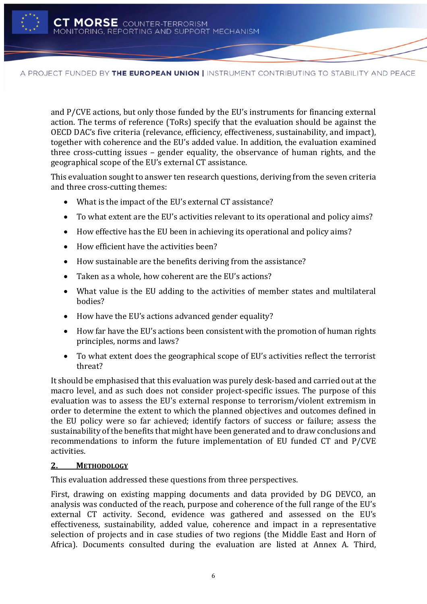

and P/CVE actions, but only those funded by the EU's instruments for financing external action. The terms of reference (ToRs) specify that the evaluation should be against the OECD DAC's five criteria (relevance, efficiency, effectiveness, sustainability, and impact), together with coherence and the EU's added value. In addition, the evaluation examined three cross-cutting issues – gender equality, the observance of human rights, and the geographical scope of the EU's external CT assistance.

This evaluation sought to answer ten research questions, deriving from the seven criteria and three cross-cutting themes:

- What is the impact of the EU's external CT assistance?
- To what extent are the EU's activities relevant to its operational and policy aims?
- How effective has the EU been in achieving its operational and policy aims?
- How efficient have the activities been?
- How sustainable are the benefits deriving from the assistance?
- Taken as a whole, how coherent are the EU's actions?
- What value is the EU adding to the activities of member states and multilateral bodies?
- How have the EU's actions advanced gender equality?
- How far have the EU's actions been consistent with the promotion of human rights principles, norms and laws?
- To what extent does the geographical scope of EU's activities reflect the terrorist threat?

It should be emphasised that this evaluation was purely desk-based and carried out at the macro level, and as such does not consider project-specific issues. The purpose of this evaluation was to assess the EU's external response to terrorism/violent extremism in order to determine the extent to which the planned objectives and outcomes defined in the EU policy were so far achieved; identify factors of success or failure; assess the sustainability of the benefits that might have been generated and to draw conclusions and recommendations to inform the future implementation of EU funded CT and P/CVE activities.

### <span id="page-8-0"></span>**2. METHODOLOGY**

This evaluation addressed these questions from three perspectives.

First, drawing on existing mapping documents and data provided by DG DEVCO, an analysis was conducted of the reach, purpose and coherence of the full range of the EU's external CT activity. Second, evidence was gathered and assessed on the EU's effectiveness, sustainability, added value, coherence and impact in a representative selection of projects and in case studies of two regions (the Middle East and Horn of Africa). Documents consulted during the evaluation are listed at Annex A. Third,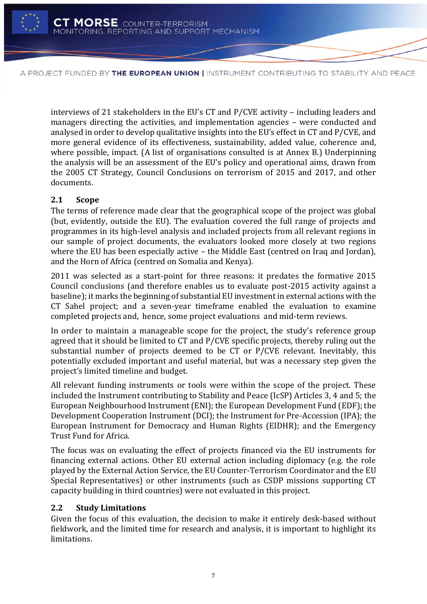

interviews of 21 stakeholders in the EU's CT and P/CVE activity – including leaders and managers directing the activities, and implementation agencies – were conducted and analysed in order to develop qualitative insights into the EU's effect in CT and P/CVE, and more general evidence of its effectiveness, sustainability, added value, coherence and, where possible, impact. (A list of organisations consulted is at Annex B.) Underpinning the analysis will be an assessment of the EU's policy and operational aims, drawn from the 2005 CT Strategy, Council Conclusions on terrorism of 2015 and 2017, and other documents.

# <span id="page-9-0"></span>**2.1 Scope**

The terms of reference made clear that the geographical scope of the project was global (but, evidently, outside the EU). The evaluation covered the full range of projects and programmes in its high-level analysis and included projects from all relevant regions in our sample of project documents, the evaluators looked more closely at two regions where the EU has been especially active – the Middle East (centred on Iraq and Jordan), and the Horn of Africa (centred on Somalia and Kenya).

2011 was selected as a start-point for three reasons: it predates the formative 2015 Council conclusions (and therefore enables us to evaluate post-2015 activity against a baseline); it marks the beginning of substantial EU investment in external actions with the CT Sahel project; and a seven-year timeframe enabled the evaluation to examine completed projects and, hence, some project evaluations and mid-term reviews.

In order to maintain a manageable scope for the project, the study's reference group agreed that it should be limited to CT and P/CVE specific projects, thereby ruling out the substantial number of projects deemed to be CT or P/CVE relevant. Inevitably, this potentially excluded important and useful material, but was a necessary step given the project's limited timeline and budget.

All relevant funding instruments or tools were within the scope of the project. These included the Instrument contributing to Stability and Peace (IcSP) Articles 3, 4 and 5; the European Neighbourhood Instrument (ENI); the European Development Fund (EDF); the Development Cooperation Instrument (DCI); the Instrument for Pre-Accession (IPA); the European Instrument for Democracy and Human Rights (EIDHR); and the Emergency Trust Fund for Africa.

The focus was on evaluating the effect of projects financed via the EU instruments for financing external actions. Other EU external action including diplomacy (e.g. the role played by the External Action Service, the EU Counter-Terrorism Coordinator and the EU Special Representatives) or other instruments (such as CSDP missions supporting CT capacity building in third countries) were not evaluated in this project.

# <span id="page-9-1"></span>**2.2 Study Limitations**

Given the focus of this evaluation, the decision to make it entirely desk-based without fieldwork, and the limited time for research and analysis, it is important to highlight its limitations.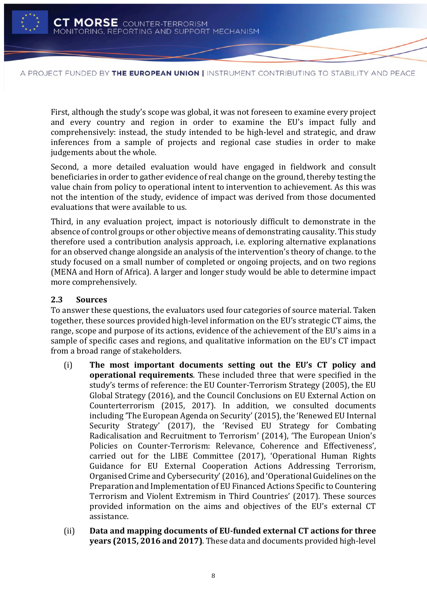

First, although the study's scope was global, it was not foreseen to examine every project and every country and region in order to examine the EU's impact fully and comprehensively: instead, the study intended to be high-level and strategic, and draw inferences from a sample of projects and regional case studies in order to make judgements about the whole.

Second, a more detailed evaluation would have engaged in fieldwork and consult beneficiaries in order to gather evidence of real change on the ground, thereby testing the value chain from policy to operational intent to intervention to achievement. As this was not the intention of the study, evidence of impact was derived from those documented evaluations that were available to us.

Third, in any evaluation project, impact is notoriously difficult to demonstrate in the absence of control groups or other objective means of demonstrating causality. This study therefore used a contribution analysis approach, i.e. exploring alternative explanations for an observed change alongside an analysis of the intervention's theory of change. to the study focused on a small number of completed or ongoing projects, and on two regions (MENA and Horn of Africa). A larger and longer study would be able to determine impact more comprehensively.

### <span id="page-10-0"></span>**2.3 Sources**

To answer these questions, the evaluators used four categories of source material. Taken together, these sources provided high-level information on the EU's strategic CT aims, the range, scope and purpose of its actions, evidence of the achievement of the EU's aims in a sample of specific cases and regions, and qualitative information on the EU's CT impact from a broad range of stakeholders.

- (i) **The most important documents setting out the EU's CT policy and operational requirements**. These included three that were specified in the study's terms of reference: the EU Counter-Terrorism Strategy (2005), the EU Global Strategy (2016), and the Council Conclusions on EU External Action on Counterterrorism (2015, 2017). In addition, we consulted documents including 'The European Agenda on Security'(2015), the 'Renewed EU Internal Security Strategy' (2017), the 'Revised EU Strategy for Combating Radicalisation and Recruitment to Terrorism' (2014), 'The European Union's Policies on Counter-Terrorism: Relevance, Coherence and Effectiveness', carried out for the LIBE Committee (2017), 'Operational Human Rights Guidance for EU External Cooperation Actions Addressing Terrorism, Organised Crime and Cybersecurity' (2016), and 'Operational Guidelines on the Preparation and Implementation of EU Financed Actions Specific to Countering Terrorism and Violent Extremism in Third Countries' (2017). These sources provided information on the aims and objectives of the EU's external CT assistance.
- (ii) **Data and mapping documents of EU-funded external CT actions for three years (2015, 2016 and 2017)**. These data and documents provided high-level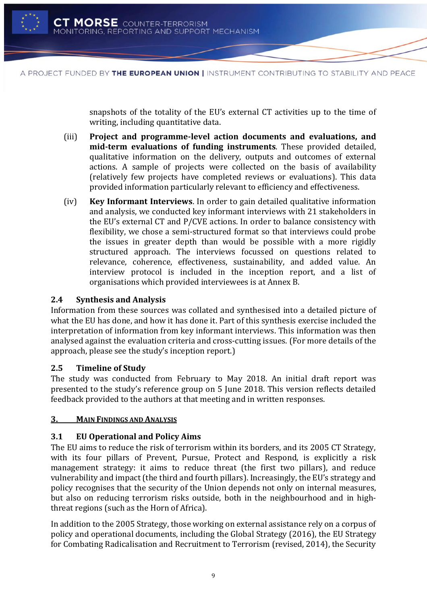

snapshots of the totality of the EU's external CT activities up to the time of writing, including quantitative data.

- (iii) **Project and programme-level action documents and evaluations, and mid-term evaluations of funding instruments**. These provided detailed, qualitative information on the delivery, outputs and outcomes of external actions. A sample of projects were collected on the basis of availability (relatively few projects have completed reviews or evaluations). This data provided information particularly relevant to efficiency and effectiveness.
- (iv) **Key Informant Interviews**. In order to gain detailed qualitative information and analysis, we conducted key informant interviews with 21 stakeholders in the EU's external CT and P/CVE actions. In order to balance consistency with flexibility, we chose a semi-structured format so that interviews could probe the issues in greater depth than would be possible with a more rigidly structured approach. The interviews focussed on questions related to relevance, coherence, effectiveness, sustainability, and added value. An interview protocol is included in the inception report, and a list of organisations which provided interviewees is at Annex B.

# <span id="page-11-0"></span>**2.4 Synthesis and Analysis**

Information from these sources was collated and synthesised into a detailed picture of what the EU has done, and how it has done it. Part of this synthesis exercise included the interpretation of information from key informant interviews. This information was then analysed against the evaluation criteria and cross-cutting issues. (For more details of the approach, please see the study's inception report.)

# <span id="page-11-1"></span>**2.5 Timeline of Study**

The study was conducted from February to May 2018. An initial draft report was presented to the study's reference group on 5 June 2018. This version reflects detailed feedback provided to the authors at that meeting and in written responses.

# <span id="page-11-2"></span>**3. MAIN FINDINGS AND ANALYSIS**

# <span id="page-11-3"></span>**3.1 EU Operational and Policy Aims**

The EU aims to reduce the risk of terrorism within its borders, and its 2005 CT Strategy, with its four pillars of Prevent, Pursue, Protect and Respond, is explicitly a risk management strategy: it aims to reduce threat (the first two pillars), and reduce vulnerability and impact (the third and fourth pillars). Increasingly, the EU's strategy and policy recognises that the security of the Union depends not only on internal measures, but also on reducing terrorism risks outside, both in the neighbourhood and in highthreat regions (such as the Horn of Africa).

In addition to the 2005 Strategy, those working on external assistance rely on a corpus of policy and operational documents, including the Global Strategy (2016), the EU Strategy for Combating Radicalisation and Recruitment to Terrorism (revised, 2014), the Security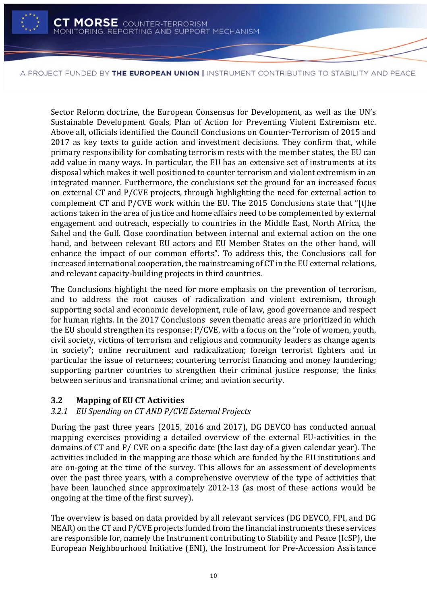

Sector Reform doctrine, the European Consensus for Development, as well as the UN's Sustainable Development Goals, Plan of Action for Preventing Violent Extremism etc. Above all, officials identified the Council Conclusions on Counter-Terrorism of 2015 and 2017 as key texts to guide action and investment decisions. They confirm that, while primary responsibility for combating terrorism rests with the member states, the EU can add value in many ways. In particular, the EU has an extensive set of instruments at its disposal which makes it well positioned to counter terrorism and violent extremism in an integrated manner. Furthermore, the conclusions set the ground for an increased focus on external CT and P/CVE projects, through highlighting the need for external action to complement CT and P/CVE work within the EU. The 2015 Conclusions state that "[t]he actions taken in the area of justice and home affairs need to be complemented by external engagement and outreach, especially to countries in the Middle East, North Africa, the Sahel and the Gulf. Close coordination between internal and external action on the one hand, and between relevant EU actors and EU Member States on the other hand, will enhance the impact of our common efforts". To address this, the Conclusions call for increased international cooperation, the mainstreaming of CT in the EU external relations, and relevant capacity-building projects in third countries.

The Conclusions highlight the need for more emphasis on the prevention of terrorism, and to address the root causes of radicalization and violent extremism, through supporting social and economic development, rule of law, good governance and respect for human rights. In the 2017 Conclusions seven thematic areas are prioritized in which the EU should strengthen its response: P/CVE, with a focus on the "role of women, youth, civil society, victims of terrorism and religious and community leaders as change agents in society"; online recruitment and radicalization; foreign terrorist fighters and in particular the issue of returnees; countering terrorist financing and money laundering; supporting partner countries to strengthen their criminal justice response; the links between serious and transnational crime; and aviation security.

# <span id="page-12-0"></span>**3.2 Mapping of EU CT Activities**

# *3.2.1 EU Spending on CT AND P/CVE External Projects*

During the past three years (2015, 2016 and 2017), DG DEVCO has conducted annual mapping exercises providing a detailed overview of the external EU-activities in the domains of CT and P/ CVE on a specific date (the last day of a given calendar year). The activities included in the mapping are those which are funded by the EU institutions and are on-going at the time of the survey. This allows for an assessment of developments over the past three years, with a comprehensive overview of the type of activities that have been launched since approximately 2012-13 (as most of these actions would be ongoing at the time of the first survey).

The overview is based on data provided by all relevant services (DG DEVCO, FPI, and DG NEAR) on the CT and P/CVE projects funded from the financial instruments these services are responsible for, namely the Instrument contributing to Stability and Peace (IcSP), the European Neighbourhood Initiative (ENI), the Instrument for Pre-Accession Assistance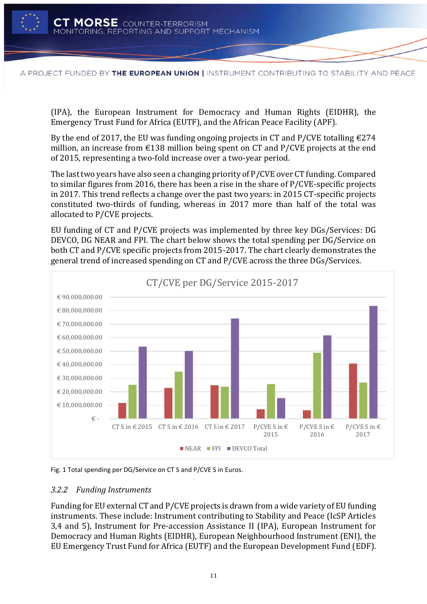

(IPA), the European Instrument for Democracy and Human Rights (EIDHR), the Emergency Trust Fund for Africa (EUTF), and the African Peace Facility (APF).

By the end of 2017, the EU was funding ongoing projects in CT and P/CVE totalling  $\epsilon$ 274 million, an increase from  $\epsilon$ 138 million being spent on CT and P/CVE projects at the end of 2015, representing a two-fold increase over a two-year period.

The last two years have also seen a changing priority of P/CVE over CT funding. Compared to similar figures from 2016, there has been a rise in the share of P/CVE-specific projects in 2017. This trend reflects a change over the past two years: in 2015 CT-specific projects constituted two-thirds of funding, whereas in 2017 more than half of the total was allocated to P/CVE projects.

EU funding of CT and P/CVE projects was implemented by three key DGs/Services: DG DEVCO, DG NEAR and FPI. The chart below shows the total spending per DG/Service on both CT and P/CVE specific projects from 2015-2017. The chart clearly demonstrates the general trend of increased spending on CT and P/CVE across the three DGs/Services.



<span id="page-13-0"></span>Fig. 1 Total spending per DG/Service on CT S and P/CVE S in Euros.

### *3.2.2 Funding Instruments*

Funding for EU external CT and P/CVE projects is drawn from a wide variety of EU funding instruments. These include: Instrument contributing to Stability and Peace (IcSP Articles 3,4 and 5), Instrument for Pre-accession Assistance II (IPA), European Instrument for Democracy and Human Rights (EIDHR), European Neighbourhood Instrument (ENI), the EU Emergency Trust Fund for Africa (EUTF) and the European Development Fund (EDF).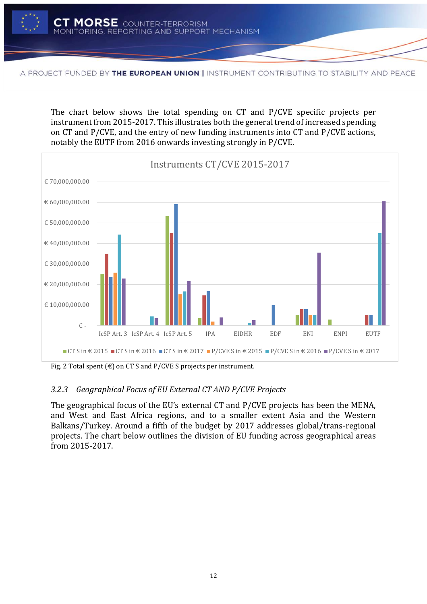

The chart below shows the total spending on CT and P/CVE specific projects per instrument from 2015-2017. This illustrates both the general trend of increased spending on CT and P/CVE, and the entry of new funding instruments into CT and P/CVE actions, notably the EUTF from 2016 onwards investing strongly in P/CVE.



Fig. 2 Total spent  $(\epsilon)$  on CT S and P/CVE S projects per instrument.

# *3.2.3 Geographical Focus of EU External CT AND P/CVE Projects*

The geographical focus of the EU's external CT and P/CVE projects has been the MENA, and West and East Africa regions, and to a smaller extent Asia and the Western Balkans/Turkey. Around a fifth of the budget by 2017 addresses global/trans-regional projects. The chart below outlines the division of EU funding across geographical areas from 2015-2017.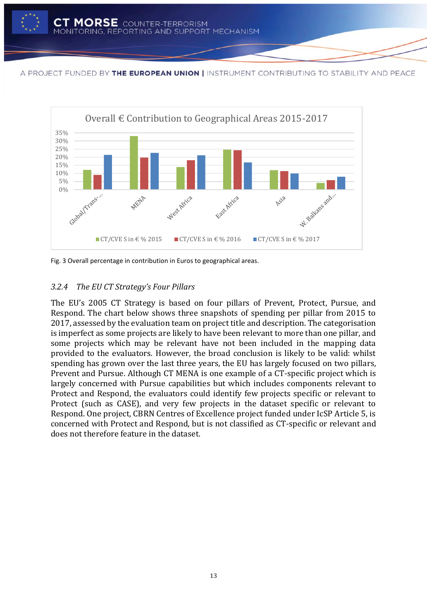

<span id="page-15-0"></span>Fig. 3 Overall percentage in contribution in Euros to geographical areas.

# *3.2.4 The EU CT Strategy's Four Pillars*

The EU's 2005 CT Strategy is based on four pillars of Prevent, Protect, Pursue, and Respond. The chart below shows three snapshots of spending per pillar from 2015 to 2017, assessed by the evaluation team on project title and description. The categorisation is imperfect as some projects are likely to have been relevant to more than one pillar, and some projects which may be relevant have not been included in the mapping data provided to the evaluators. However, the broad conclusion is likely to be valid: whilst spending has grown over the last three years, the EU has largely focused on two pillars, Prevent and Pursue. Although CT MENA is one example of a CT-specific project which is largely concerned with Pursue capabilities but which includes components relevant to Protect and Respond, the evaluators could identify few projects specific or relevant to Protect (such as CASE), and very few projects in the dataset specific or relevant to Respond. One project, CBRN Centres of Excellence project funded under IcSP Article 5, is concerned with Protect and Respond, but is not classified as CT-specific or relevant and does not therefore feature in the dataset.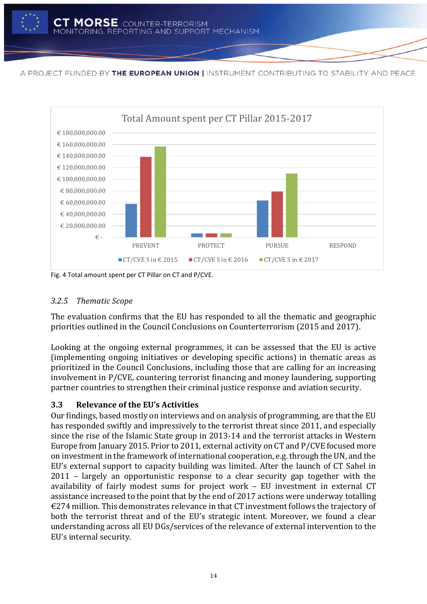<span id="page-16-0"></span>

Fig. 4 Total amount spent per CT Pillar on CT and P/CVE.

# *3.2.5 Thematic Scope*

The evaluation confirms that the EU has responded to all the thematic and geographic priorities outlined in the Council Conclusions on Counterterrorism (2015 and 2017).

Looking at the ongoing external programmes, it can be assessed that the EU is active (implementing ongoing initiatives or developing specific actions) in thematic areas as prioritized in the Council Conclusions, including those that are calling for an increasing involvement in P/CVE, countering terrorist financing and money laundering, supporting partner countries to strengthen their criminal justice response and aviation security.

# <span id="page-16-1"></span>**3.3 Relevance of the EU's Activities**

Our findings, based mostly on interviews and on analysis of programming, are that the EU has responded swiftly and impressively to the terrorist threat since 2011, and especially since the rise of the Islamic State group in 2013-14 and the terrorist attacks in Western Europe from January 2015. Prior to 2011, external activity on CT and P/CVE focused more on investment in the framework of international cooperation, e.g. through the UN, and the EU's external support to capacity building was limited. After the launch of CT Sahel in 2011 – largely an opportunistic response to a clear security gap together with the availability of fairly modest sums for project work – EU investment in external CT assistance increased to the point that by the end of 2017 actions were underway totalling €274 million. This demonstrates relevance in that CT investment follows the trajectory of both the terrorist threat and of the EU's strategic intent. Moreover, we found a clear understanding across all EU DGs/services of the relevance of external intervention to the EU's internal security.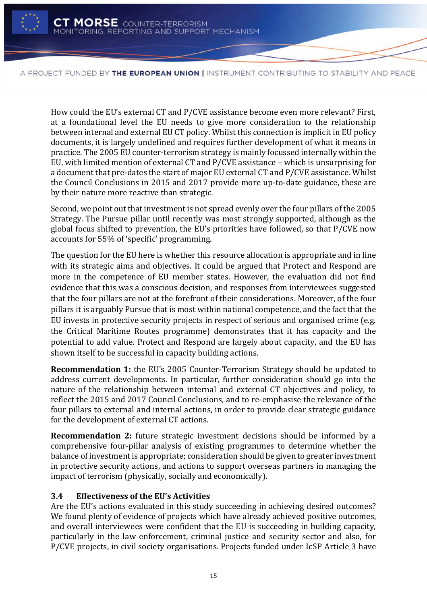

How could the EU's external CT and P/CVE assistance become even more relevant? First, at a foundational level the EU needs to give more consideration to the relationship between internal and external EU CT policy. Whilst this connection is implicit in EU policy documents, it is largely undefined and requires further development of what it means in practice. The 2005 EU counter-terrorism strategy is mainly focussed internally within the EU, with limited mention of external CT and P/CVE assistance – which is unsurprising for a document that pre-dates the start of major EU external CT and P/CVE assistance. Whilst the Council Conclusions in 2015 and 2017 provide more up-to-date guidance, these are by their nature more reactive than strategic.

Second, we point out that investment is not spread evenly over the four pillars of the 2005 Strategy. The Pursue pillar until recently was most strongly supported, although as the global focus shifted to prevention, the EU's priorities have followed, so that P/CVE now accounts for 55% of 'specific' programming.

The question for the EU here is whether this resource allocation is appropriate and in line with its strategic aims and objectives. It could be argued that Protect and Respond are more in the competence of EU member states. However, the evaluation did not find evidence that this was a conscious decision, and responses from interviewees suggested that the four pillars are not at the forefront of their considerations. Moreover, of the four pillars it is arguably Pursue that is most within national competence, and the fact that the EU invests in protective security projects in respect of serious and organised crime (e.g. the Critical Maritime Routes programme) demonstrates that it has capacity and the potential to add value. Protect and Respond are largely about capacity, and the EU has shown itself to be successful in capacity building actions.

**Recommendation 1:** the EU's 2005 Counter-Terrorism Strategy should be updated to address current developments. In particular, further consideration should go into the nature of the relationship between internal and external CT objectives and policy, to reflect the 2015 and 2017 Council Conclusions, and to re-emphasise the relevance of the four pillars to external and internal actions, in order to provide clear strategic guidance for the development of external CT actions.

**Recommendation 2:** future strategic investment decisions should be informed by a comprehensive four-pillar analysis of existing programmes to determine whether the balance of investment is appropriate; consideration should be given to greater investment in protective security actions, and actions to support overseas partners in managing the impact of terrorism (physically, socially and economically).

# <span id="page-17-0"></span>**3.4 Effectiveness of the EU's Activities**

Are the EU's actions evaluated in this study succeeding in achieving desired outcomes? We found plenty of evidence of projects which have already achieved positive outcomes, and overall interviewees were confident that the EU is succeeding in building capacity, particularly in the law enforcement, criminal justice and security sector and also, for P/CVE projects, in civil society organisations. Projects funded under IcSP Article 3 have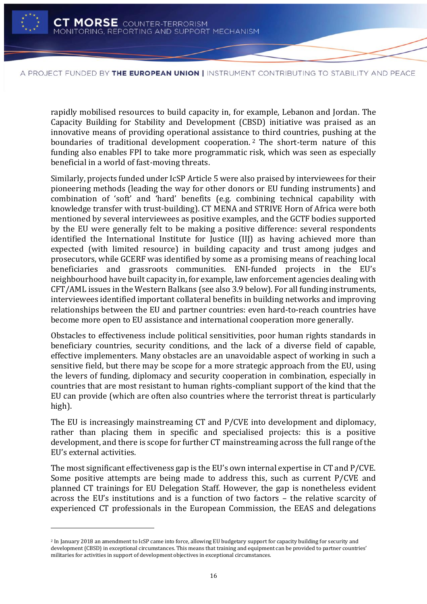

l

A PROJECT FUNDED BY THE EUROPEAN UNION | INSTRUMENT CONTRIBUTING TO STABILITY AND PEACE

rapidly mobilised resources to build capacity in, for example, Lebanon and Jordan. The Capacity Building for Stability and Development (CBSD) initiative was praised as an innovative means of providing operational assistance to third countries, pushing at the boundaries of traditional development cooperation.<sup>2</sup> The short-term nature of this funding also enables FPI to take more programmatic risk, which was seen as especially beneficial in a world of fast-moving threats.

Similarly, projects funded under IcSP Article 5 were also praised by interviewees for their pioneering methods (leading the way for other donors or EU funding instruments) and combination of 'soft' and 'hard' benefits (e.g. combining technical capability with knowledge transfer with trust-building). CT MENA and STRIVE Horn of Africa were both mentioned by several interviewees as positive examples, and the GCTF bodies supported by the EU were generally felt to be making a positive difference: several respondents identified the International Institute for Justice (IIJ) as having achieved more than expected (with limited resource) in building capacity and trust among judges and prosecutors, while GCERF was identified by some as a promising means of reaching local beneficiaries and grassroots communities. ENI-funded projects in the EU's neighbourhood have built capacity in, for example, law enforcement agencies dealing with CFT/AML issues in the Western Balkans (see also 3.9 below). For all funding instruments, interviewees identified important collateral benefits in building networks and improving relationships between the EU and partner countries: even hard-to-reach countries have become more open to EU assistance and international cooperation more generally.

Obstacles to effectiveness include political sensitivities, poor human rights standards in beneficiary countries, security conditions, and the lack of a diverse field of capable, effective implementers. Many obstacles are an unavoidable aspect of working in such a sensitive field, but there may be scope for a more strategic approach from the EU, using the levers of funding, diplomacy and security cooperation in combination, especially in countries that are most resistant to human rights-compliant support of the kind that the EU can provide (which are often also countries where the terrorist threat is particularly high).

The EU is increasingly mainstreaming CT and P/CVE into development and diplomacy, rather than placing them in specific and specialised projects: this is a positive development, and there is scope for further CT mainstreaming across the full range of the EU's external activities.

The most significant effectiveness gap is the EU's own internal expertise in CT and P/CVE. Some positive attempts are being made to address this, such as current P/CVE and planned CT trainings for EU Delegation Staff. However, the gap is nonetheless evident across the EU's institutions and is a function of two factors – the relative scarcity of experienced CT professionals in the European Commission, the EEAS and delegations

<sup>2</sup> In January 2018 an amendment to IcSP came into force, allowing EU budgetary support for capacity building for security and development (CBSD) in exceptional circumstances. This means that training and equipment can be provided to partner countries' militaries for activities in support of development objectives in exceptional circumstances.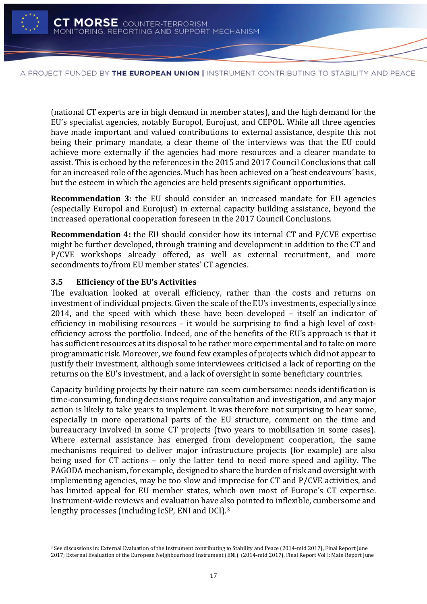

(national CT experts are in high demand in member states), and the high demand for the EU's specialist agencies, notably Europol, Eurojust, and CEPOL. While all three agencies have made important and valued contributions to external assistance, despite this not being their primary mandate, a clear theme of the interviews was that the EU could achieve more externally if the agencies had more resources and a clearer mandate to assist. This is echoed by the references in the 2015 and 2017 Council Conclusions that call for an increased role of the agencies. Much has been achieved on a 'best endeavours' basis, but the esteem in which the agencies are held presents significant opportunities.

**Recommendation 3**: the EU should consider an increased mandate for EU agencies (especially Europol and Eurojust) in external capacity building assistance, beyond the increased operational cooperation foreseen in the 2017 Council Conclusions.

**Recommendation 4:** the EU should consider how its internal CT and P/CVE expertise might be further developed, through training and development in addition to the CT and P/CVE workshops already offered, as well as external recruitment, and more secondments to/from EU member states' CT agencies.

# <span id="page-19-0"></span>**3.5 Efficiency of the EU's Activities**

l

The evaluation looked at overall efficiency, rather than the costs and returns on investment of individual projects. Given the scale of the EU's investments, especially since 2014, and the speed with which these have been developed – itself an indicator of efficiency in mobilising resources – it would be surprising to find a high level of costefficiency across the portfolio. Indeed, one of the benefits of the EU's approach is that it has sufficient resources at its disposal to be rather more experimental and to take on more programmatic risk. Moreover, we found few examples of projects which did not appear to justify their investment, although some interviewees criticised a lack of reporting on the returns on the EU's investment, and a lack of oversight in some beneficiary countries.

Capacity building projects by their nature can seem cumbersome: needs identification is time-consuming, funding decisions require consultation and investigation, and any major action is likely to take years to implement. It was therefore not surprising to hear some, especially in more operational parts of the EU structure, comment on the time and bureaucracy involved in some CT projects (two years to mobilisation in some cases). Where external assistance has emerged from development cooperation, the same mechanisms required to deliver major infrastructure projects (for example) are also being used for CT actions – only the latter tend to need more speed and agility. The PAGODA mechanism, for example, designed to share the burden of risk and oversight with implementing agencies, may be too slow and imprecise for CT and P/CVE activities, and has limited appeal for EU member states, which own most of Europe's CT expertise. Instrument-wide reviews and evaluation have also pointed to inflexible, cumbersome and lengthy processes (including IcSP, ENI and DCI).<sup>3</sup>

<sup>3</sup> See discussions in: External Evaluation of the Instrument contributing to Stability and Peace (2014-mid 2017), Final Report June 2017; External Evaluation of the European Neighbourhood Instrument (ENI) (2014-mid 2017), Final Report Vol !: Main Report June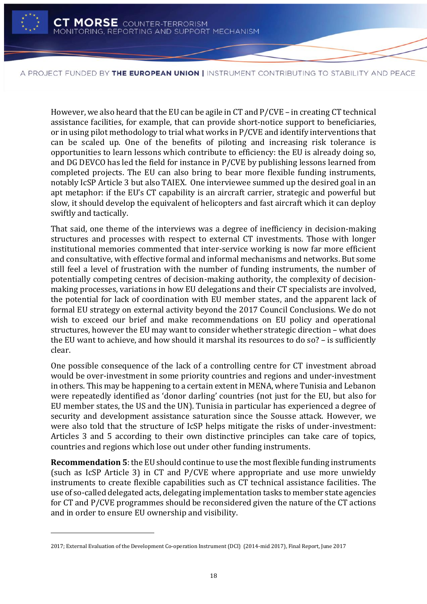

l

A PROJECT FUNDED BY THE EUROPEAN UNION | INSTRUMENT CONTRIBUTING TO STABILITY AND PEACE

However, we also heard that the EU can be agile in CT and P/CVE – in creating CT technical assistance facilities, for example, that can provide short-notice support to beneficiaries, or in using pilot methodology to trial what works in P/CVE and identify interventions that can be scaled up. One of the benefits of piloting and increasing risk tolerance is opportunities to learn lessons which contribute to efficiency: the EU is already doing so, and DG DEVCO has led the field for instance in P/CVE by publishing lessons learned from completed projects. The EU can also bring to bear more flexible funding instruments, notably IcSP Article 3 but also TAIEX. One interviewee summed up the desired goal in an apt metaphor: if the EU's CT capability is an aircraft carrier, strategic and powerful but slow, it should develop the equivalent of helicopters and fast aircraft which it can deploy swiftly and tactically.

That said, one theme of the interviews was a degree of inefficiency in decision-making structures and processes with respect to external CT investments. Those with longer institutional memories commented that inter-service working is now far more efficient and consultative, with effective formal and informal mechanisms and networks. But some still feel a level of frustration with the number of funding instruments, the number of potentially competing centres of decision-making authority, the complexity of decisionmaking processes, variations in how EU delegations and their CT specialists are involved, the potential for lack of coordination with EU member states, and the apparent lack of formal EU strategy on external activity beyond the 2017 Council Conclusions. We do not wish to exceed our brief and make recommendations on EU policy and operational structures, however the EU may want to consider whether strategic direction – what does the EU want to achieve, and how should it marshal its resources to do so? – is sufficiently clear.

One possible consequence of the lack of a controlling centre for CT investment abroad would be over-investment in some priority countries and regions and under-investment in others. This may be happening to a certain extent in MENA, where Tunisia and Lebanon were repeatedly identified as 'donor darling' countries (not just for the EU, but also for EU member states, the US and the UN). Tunisia in particular has experienced a degree of security and development assistance saturation since the Sousse attack. However, we were also told that the structure of IcSP helps mitigate the risks of under-investment: Articles 3 and 5 according to their own distinctive principles can take care of topics, countries and regions which lose out under other funding instruments.

**Recommendation 5**: the EU should continue to use the most flexible funding instruments (such as IcSP Article 3) in CT and P/CVE where appropriate and use more unwieldy instruments to create flexible capabilities such as CT technical assistance facilities. The use of so-called delegated acts, delegating implementation tasks to member state agencies for CT and P/CVE programmes should be reconsidered given the nature of the CT actions and in order to ensure EU ownership and visibility.

<sup>2017;</sup> External Evaluation of the Development Co-operation Instrument (DCI) (2014-mid 2017), Final Report, June 2017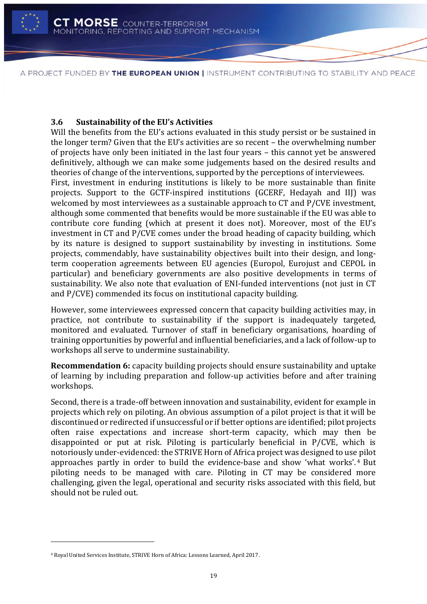

### <span id="page-21-0"></span>**3.6 Sustainability of the EU's Activities**

Will the benefits from the EU's actions evaluated in this study persist or be sustained in the longer term? Given that the EU's activities are so recent – the overwhelming number of projects have only been initiated in the last four years – this cannot yet be answered definitively, although we can make some judgements based on the desired results and theories of change of the interventions, supported by the perceptions of interviewees.

First, investment in enduring institutions is likely to be more sustainable than finite projects. Support to the GCTF-inspired institutions (GCERF, Hedayah and IIJ) was welcomed by most interviewees as a sustainable approach to CT and P/CVE investment, although some commented that benefits would be more sustainable if the EU was able to contribute core funding (which at present it does not). Moreover, most of the EU's investment in CT and P/CVE comes under the broad heading of capacity building, which by its nature is designed to support sustainability by investing in institutions. Some projects, commendably, have sustainability objectives built into their design, and longterm cooperation agreements between EU agencies (Europol, Eurojust and CEPOL in particular) and beneficiary governments are also positive developments in terms of sustainability. We also note that evaluation of ENI-funded interventions (not just in CT and P/CVE) commended its focus on institutional capacity building.

However, some interviewees expressed concern that capacity building activities may, in practice, not contribute to sustainability if the support is inadequately targeted, monitored and evaluated. Turnover of staff in beneficiary organisations, hoarding of training opportunities by powerful and influential beneficiaries, and a lack of follow-up to workshops all serve to undermine sustainability.

**Recommendation 6:** capacity building projects should ensure sustainability and uptake of learning by including preparation and follow-up activities before and after training workshops.

Second, there is a trade-off between innovation and sustainability, evident for example in projects which rely on piloting. An obvious assumption of a pilot project is that it will be discontinued or redirected if unsuccessful or if better options are identified; pilot projects often raise expectations and increase short-term capacity, which may then be disappointed or put at risk. Piloting is particularly beneficial in P/CVE, which is notoriously under-evidenced: the STRIVE Horn of Africa project was designed to use pilot approaches partly in order to build the evidence-base and show 'what works'. <sup>4</sup> But piloting needs to be managed with care. Piloting in CT may be considered more challenging, given the legal, operational and security risks associated with this field, but should not be ruled out.

l

<sup>4</sup> Royal United Services Institute, STRIVE Horn of Africa: Lessons Learned, April 2017.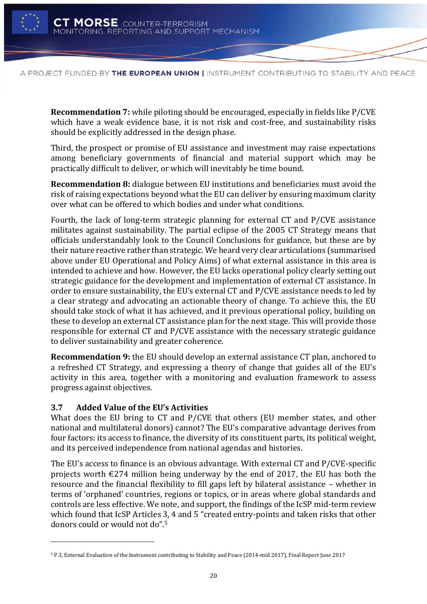

**Recommendation 7:** while piloting should be encouraged, especially in fields like P/CVE which have a weak evidence base, it is not risk and cost-free, and sustainability risks should be explicitly addressed in the design phase.

Third, the prospect or promise of EU assistance and investment may raise expectations among beneficiary governments of financial and material support which may be practically difficult to deliver, or which will inevitably be time bound.

**Recommendation 8:** dialogue between EU institutions and beneficiaries must avoid the risk of raising expectations beyond what the EU can deliver by ensuring maximum clarity over what can be offered to which bodies and under what conditions.

Fourth, the lack of long-term strategic planning for external CT and P/CVE assistance militates against sustainability. The partial eclipse of the 2005 CT Strategy means that officials understandably look to the Council Conclusions for guidance, but these are by their nature reactive rather than strategic. We heard very clear articulations (summarised above under EU Operational and Policy Aims) of what external assistance in this area is intended to achieve and how. However, the EU lacks operational policy clearly setting out strategic guidance for the development and implementation of external CT assistance. In order to ensure sustainability, the EU's external CT and P/CVE assistance needs to led by a clear strategy and advocating an actionable theory of change. To achieve this, the EU should take stock of what it has achieved, and it previous operational policy, building on these to develop an external CT assistance plan for the next stage. This will provide those responsible for external CT and P/CVE assistance with the necessary strategic guidance to deliver sustainability and greater coherence.

**Recommendation 9:** the EU should develop an external assistance CT plan, anchored to a refreshed CT Strategy, and expressing a theory of change that guides all of the EU's activity in this area, together with a monitoring and evaluation framework to assess progress against objectives.

# <span id="page-22-0"></span>**3.7 Added Value of the EU's Activities**

l

What does the EU bring to CT and P/CVE that others (EU member states, and other national and multilateral donors) cannot? The EU's comparative advantage derives from four factors: its access to finance, the diversity of its constituent parts, its political weight, and its perceived independence from national agendas and histories.

The EU's access to finance is an obvious advantage. With external CT and P/CVE-specific projects worth  $\epsilon$ 274 million being underway by the end of 2017, the EU has both the resource and the financial flexibility to fill gaps left by bilateral assistance – whether in terms of 'orphaned' countries, regions or topics, or in areas where global standards and controls are less effective. We note, and support, the findings of the IcSP mid-term review which found that IcSP Articles 3, 4 and 5 "created entry-points and taken risks that other donors could or would not do". 5

<sup>5</sup> P.3, External Evaluation of the Instrument contributing to Stability and Peace (2014-mid 2017), Final Report June 2017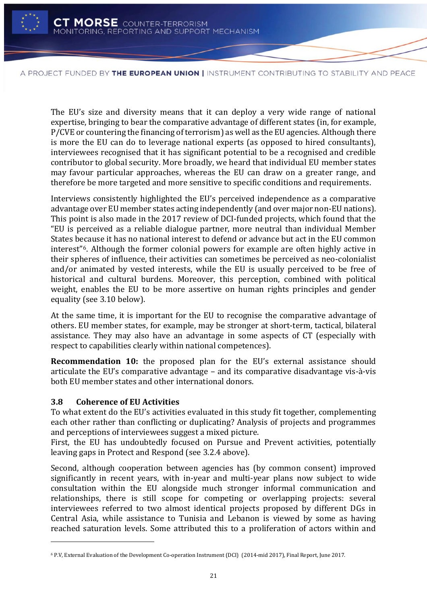

The EU's size and diversity means that it can deploy a very wide range of national expertise, bringing to bear the comparative advantage of different states (in, for example, P/CVE or countering the financing of terrorism) as well as the EU agencies. Although there is more the EU can do to leverage national experts (as opposed to hired consultants), interviewees recognised that it has significant potential to be a recognised and credible contributor to global security. More broadly, we heard that individual EU member states may favour particular approaches, whereas the EU can draw on a greater range, and therefore be more targeted and more sensitive to specific conditions and requirements.

Interviews consistently highlighted the EU's perceived independence as a comparative advantage over EU member states acting independently (and over major non-EU nations). This point is also made in the 2017 review of DCI-funded projects, which found that the "EU is perceived as a reliable dialogue partner, more neutral than individual Member States because it has no national interest to defend or advance but act in the EU common interest"6. Although the former colonial powers for example are often highly active in their spheres of influence, their activities can sometimes be perceived as neo-colonialist and/or animated by vested interests, while the EU is usually perceived to be free of historical and cultural burdens. Moreover, this perception, combined with political weight, enables the EU to be more assertive on human rights principles and gender equality (see 3.10 below).

At the same time, it is important for the EU to recognise the comparative advantage of others. EU member states, for example, may be stronger at short-term, tactical, bilateral assistance. They may also have an advantage in some aspects of CT (especially with respect to capabilities clearly within national competences).

**Recommendation 10:** the proposed plan for the EU's external assistance should articulate the EU's comparative advantage – and its comparative disadvantage vis-à-vis both EU member states and other international donors.

### <span id="page-23-0"></span>**3.8 Coherence of EU Activities**

l

To what extent do the EU's activities evaluated in this study fit together, complementing each other rather than conflicting or duplicating? Analysis of projects and programmes and perceptions of interviewees suggest a mixed picture.

First, the EU has undoubtedly focused on Pursue and Prevent activities, potentially leaving gaps in Protect and Respond (see 3.2.4 above).

Second, although cooperation between agencies has (by common consent) improved significantly in recent years, with in-year and multi-year plans now subject to wide consultation within the EU alongside much stronger informal communication and relationships, there is still scope for competing or overlapping projects: several interviewees referred to two almost identical projects proposed by different DGs in Central Asia, while assistance to Tunisia and Lebanon is viewed by some as having reached saturation levels. Some attributed this to a proliferation of actors within and

<sup>6</sup> P.V, External Evaluation of the Development Co-operation Instrument (DCI) (2014-mid 2017), Final Report, June 2017.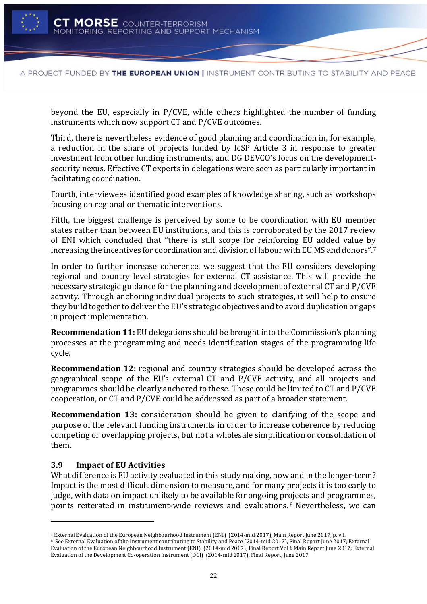

beyond the EU, especially in P/CVE, while others highlighted the number of funding instruments which now support CT and P/CVE outcomes.

Third, there is nevertheless evidence of good planning and coordination in, for example, a reduction in the share of projects funded by IcSP Article 3 in response to greater investment from other funding instruments, and DG DEVCO's focus on the developmentsecurity nexus. Effective CT experts in delegations were seen as particularly important in facilitating coordination.

Fourth, interviewees identified good examples of knowledge sharing, such as workshops focusing on regional or thematic interventions.

Fifth, the biggest challenge is perceived by some to be coordination with EU member states rather than between EU institutions, and this is corroborated by the 2017 review of ENI which concluded that "there is still scope for reinforcing EU added value by increasing the incentives for coordination and division of labour with EU MS and donors". 7

In order to further increase coherence, we suggest that the EU considers developing regional and country level strategies for external CT assistance. This will provide the necessary strategic guidance for the planning and development of external CT and P/CVE activity. Through anchoring individual projects to such strategies, it will help to ensure they build together to deliver the EU's strategic objectives and to avoid duplication or gaps in project implementation.

**Recommendation 11:** EU delegations should be brought into the Commission's planning processes at the programming and needs identification stages of the programming life cycle.

**Recommendation 12:** regional and country strategies should be developed across the geographical scope of the EU's external CT and P/CVE activity, and all projects and programmes should be clearly anchored to these. These could be limited to CT and P/CVE cooperation, or CT and P/CVE could be addressed as part of a broader statement.

**Recommendation 13:** consideration should be given to clarifying of the scope and purpose of the relevant funding instruments in order to increase coherence by reducing competing or overlapping projects, but not a wholesale simplification or consolidation of them.

# <span id="page-24-0"></span>**3.9 Impact of EU Activities**

l

What difference is EU activity evaluated in this study making, now and in the longer-term? Impact is the most difficult dimension to measure, and for many projects it is too early to judge, with data on impact unlikely to be available for ongoing projects and programmes, points reiterated in instrument-wide reviews and evaluations. <sup>8</sup> Nevertheless, we can

<sup>7</sup> External Evaluation of the European Neighbourhood Instrument (ENI) (2014-mid 2017), Main Report June 2017, p. vii.

<sup>&</sup>lt;sup>8</sup> See External Evaluation of the Instrument contributing to Stability and Peace (2014-mid 2017), Final Report June 2017; External Evaluation of the European Neighbourhood Instrument (ENI) (2014-mid 2017), Final Report Vol !: Main Report June 2017; External Evaluation of the Development Co-operation Instrument (DCI) (2014-mid 2017), Final Report, June 2017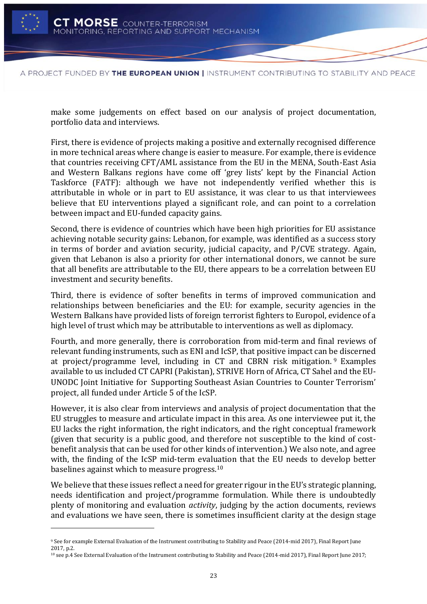

l

A PROJECT FUNDED BY THE EUROPEAN UNION | INSTRUMENT CONTRIBUTING TO STABILITY AND PEACE

make some judgements on effect based on our analysis of project documentation, portfolio data and interviews.

First, there is evidence of projects making a positive and externally recognised difference in more technical areas where change is easier to measure. For example, there is evidence that countries receiving CFT/AML assistance from the EU in the MENA, South-East Asia and Western Balkans regions have come off 'grey lists' kept by the Financial Action Taskforce (FATF): although we have not independently verified whether this is attributable in whole or in part to EU assistance, it was clear to us that interviewees believe that EU interventions played a significant role, and can point to a correlation between impact and EU-funded capacity gains.

Second, there is evidence of countries which have been high priorities for EU assistance achieving notable security gains: Lebanon, for example, was identified as a success story in terms of border and aviation security, judicial capacity, and P/CVE strategy. Again, given that Lebanon is also a priority for other international donors, we cannot be sure that all benefits are attributable to the EU, there appears to be a correlation between EU investment and security benefits.

Third, there is evidence of softer benefits in terms of improved communication and relationships between beneficiaries and the EU: for example, security agencies in the Western Balkans have provided lists of foreign terrorist fighters to Europol, evidence of a high level of trust which may be attributable to interventions as well as diplomacy.

Fourth, and more generally, there is corroboration from mid-term and final reviews of relevant funding instruments, such as ENI and IcSP, that positive impact can be discerned at project/programme level, including in CT and CBRN risk mitigation. <sup>9</sup> Examples available to us included CT CAPRI (Pakistan), STRIVE Horn of Africa, CT Sahel and the EU-UNODC Joint Initiative for Supporting Southeast Asian Countries to Counter Terrorism' project, all funded under Article 5 of the IcSP.

However, it is also clear from interviews and analysis of project documentation that the EU struggles to measure and articulate impact in this area. As one interviewee put it, the EU lacks the right information, the right indicators, and the right conceptual framework (given that security is a public good, and therefore not susceptible to the kind of costbenefit analysis that can be used for other kinds of intervention.) We also note, and agree with, the finding of the IcSP mid-term evaluation that the EU needs to develop better baselines against which to measure progress.<sup>10</sup>

We believe that these issues reflect a need for greater rigour in the EU's strategic planning, needs identification and project/programme formulation. While there is undoubtedly plenty of monitoring and evaluation *activity*, judging by the action documents, reviews and evaluations we have seen, there is sometimes insufficient clarity at the design stage

<sup>9</sup> See for example External Evaluation of the Instrument contributing to Stability and Peace (2014-mid 2017), Final Report June 2017, p.2.

<sup>10</sup> see p.4 See External Evaluation of the Instrument contributing to Stability and Peace (2014-mid 2017), Final Report June 2017;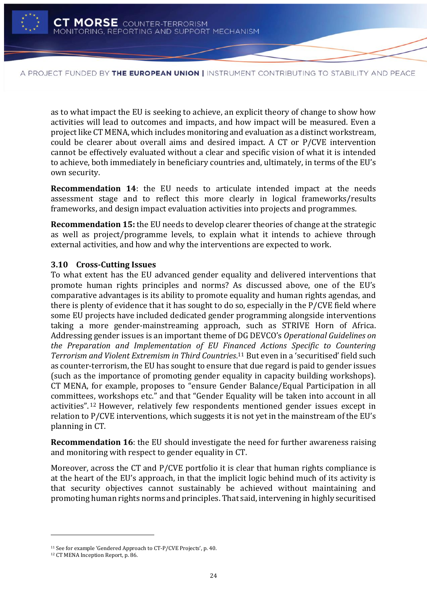

as to what impact the EU is seeking to achieve, an explicit theory of change to show how activities will lead to outcomes and impacts, and how impact will be measured. Even a project like CT MENA, which includes monitoring and evaluation as a distinct workstream, could be clearer about overall aims and desired impact. A CT or P/CVE intervention cannot be effectively evaluated without a clear and specific vision of what it is intended to achieve, both immediately in beneficiary countries and, ultimately, in terms of the EU's own security.

**Recommendation 14**: the EU needs to articulate intended impact at the needs assessment stage and to reflect this more clearly in logical frameworks/results frameworks, and design impact evaluation activities into projects and programmes.

**Recommendation 15:** the EU needs to develop clearer theories of change at the strategic as well as project/programme levels, to explain what it intends to achieve through external activities, and how and why the interventions are expected to work.

# <span id="page-26-0"></span>**3.10 Cross-Cutting Issues**

To what extent has the EU advanced gender equality and delivered interventions that promote human rights principles and norms? As discussed above, one of the EU's comparative advantages is its ability to promote equality and human rights agendas, and there is plenty of evidence that it has sought to do so, especially in the P/CVE field where some EU projects have included dedicated gender programming alongside interventions taking a more gender-mainstreaming approach, such as STRIVE Horn of Africa. Addressing gender issues is an important theme of DG DEVCO's *Operational Guidelines on the Preparation and Implementation of EU Financed Actions Specific to Countering Terrorism and Violent Extremism in Third Countries*. <sup>11</sup> But even in a 'securitised' field such as counter-terrorism, the EU has sought to ensure that due regard is paid to gender issues (such as the importance of promoting gender equality in capacity building workshops). CT MENA, for example, proposes to "ensure Gender Balance/Equal Participation in all committees, workshops etc." and that "Gender Equality will be taken into account in all activities". <sup>12</sup> However, relatively few respondents mentioned gender issues except in relation to P/CVE interventions, which suggests it is not yet in the mainstream of the EU's planning in CT.

**Recommendation 16**: the EU should investigate the need for further awareness raising and monitoring with respect to gender equality in CT.

Moreover, across the CT and P/CVE portfolio it is clear that human rights compliance is at the heart of the EU's approach, in that the implicit logic behind much of its activity is that security objectives cannot sustainably be achieved without maintaining and promoting human rights norms and principles. That said, intervening in highly securitised

l

<sup>11</sup> See for example 'Gendered Approach to CT-P/CVE Projects', p. 40.

<sup>12</sup> CT MENA Inception Report, p. 86.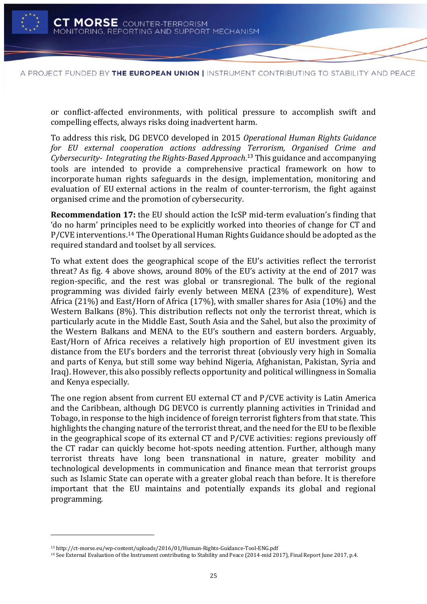

or conflict-affected environments, with political pressure to accomplish swift and compelling effects, always risks doing inadvertent harm.

To address this risk, DG DEVCO developed in 2015 *Operational Human Rights Guidance for EU external cooperation actions addressing Terrorism, Organised Crime and Cybersecurity- Integrating the Rights-Based Approach*. <sup>13</sup> This guidance and accompanying tools are intended to provide a comprehensive practical framework on how to incorporate human rights safeguards in the design, implementation, monitoring and evaluation of EU external actions in the realm of counter-terrorism, the fight against organised crime and the promotion of cybersecurity.

**Recommendation 17:** the EU should action the IcSP mid-term evaluation's finding that 'do no harm' principles need to be explicitly worked into theories of change for CT and P/CVE interventions.<sup>14</sup> The Operational Human Rights Guidance should be adopted as the required standard and toolset by all services.

To what extent does the geographical scope of the EU's activities reflect the terrorist threat? As fig. 4 above shows, around 80% of the EU's activity at the end of 2017 was region-specific, and the rest was global or transregional. The bulk of the regional programming was divided fairly evenly between MENA (23% of expenditure), West Africa (21%) and East/Horn of Africa (17%), with smaller shares for Asia (10%) and the Western Balkans (8%). This distribution reflects not only the terrorist threat, which is particularly acute in the Middle East, South Asia and the Sahel, but also the proximity of the Western Balkans and MENA to the EU's southern and eastern borders. Arguably, East/Horn of Africa receives a relatively high proportion of EU investment given its distance from the EU's borders and the terrorist threat (obviously very high in Somalia and parts of Kenya, but still some way behind Nigeria, Afghanistan, Pakistan, Syria and Iraq). However, this also possibly reflects opportunity and political willingness in Somalia and Kenya especially.

The one region absent from current EU external CT and P/CVE activity is Latin America and the Caribbean, although DG DEVCO is currently planning activities in Trinidad and Tobago, in response to the high incidence of foreign terrorist fighters from that state. This highlights the changing nature of the terrorist threat, and the need for the EU to be flexible in the geographical scope of its external CT and P/CVE activities: regions previously off the CT radar can quickly become hot-spots needing attention. Further, although many terrorist threats have long been transnational in nature, greater mobility and technological developments in communication and finance mean that terrorist groups such as Islamic State can operate with a greater global reach than before. It is therefore important that the EU maintains and potentially expands its global and regional programming.

l

<sup>13</sup> http://ct-morse.eu/wp-content/uploads/2016/01/Human-Rights-Guidance-Tool-ENG.pdf

<sup>14</sup> See External Evaluation of the Instrument contributing to Stability and Peace (2014-mid 2017), Final Report June 2017, p.4.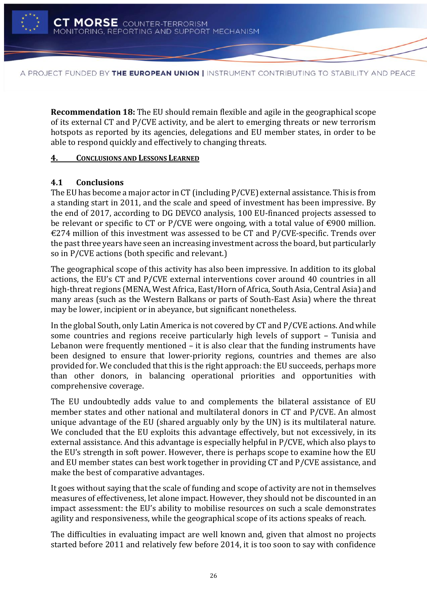

**Recommendation 18:** The EU should remain flexible and agile in the geographical scope of its external CT and P/CVE activity, and be alert to emerging threats or new terrorism hotspots as reported by its agencies, delegations and EU member states, in order to be able to respond quickly and effectively to changing threats.

### <span id="page-28-0"></span>**4. CONCLUSIONS AND LESSONS LEARNED**

# <span id="page-28-1"></span>**4.1 Conclusions**

The EU has become a major actor in CT (including P/CVE) external assistance. This is from a standing start in 2011, and the scale and speed of investment has been impressive. By the end of 2017, according to DG DEVCO analysis, 100 EU-financed projects assessed to be relevant or specific to CT or P/CVE were ongoing, with a total value of  $\epsilon$ 900 million.  $\epsilon$ 274 million of this investment was assessed to be CT and P/CVE-specific. Trends over the past three years have seen an increasing investment across the board, but particularly so in P/CVE actions (both specific and relevant.)

The geographical scope of this activity has also been impressive. In addition to its global actions, the EU's CT and P/CVE external interventions cover around 40 countries in all high-threat regions (MENA, West Africa, East/Horn of Africa, South Asia, Central Asia) and many areas (such as the Western Balkans or parts of South-East Asia) where the threat may be lower, incipient or in abeyance, but significant nonetheless.

In the global South, only Latin America is not covered by CT and P/CVE actions. And while some countries and regions receive particularly high levels of support – Tunisia and Lebanon were frequently mentioned – it is also clear that the funding instruments have been designed to ensure that lower-priority regions, countries and themes are also provided for. We concluded that this is the right approach: the EU succeeds, perhaps more than other donors, in balancing operational priorities and opportunities with comprehensive coverage.

The EU undoubtedly adds value to and complements the bilateral assistance of EU member states and other national and multilateral donors in CT and P/CVE. An almost unique advantage of the EU (shared arguably only by the UN) is its multilateral nature. We concluded that the EU exploits this advantage effectively, but not excessively, in its external assistance. And this advantage is especially helpful in P/CVE, which also plays to the EU's strength in soft power. However, there is perhaps scope to examine how the EU and EU member states can best work together in providing CT and P/CVE assistance, and make the best of comparative advantages.

It goes without saying that the scale of funding and scope of activity are not in themselves measures of effectiveness, let alone impact. However, they should not be discounted in an impact assessment: the EU's ability to mobilise resources on such a scale demonstrates agility and responsiveness, while the geographical scope of its actions speaks of reach.

The difficulties in evaluating impact are well known and, given that almost no projects started before 2011 and relatively few before 2014, it is too soon to say with confidence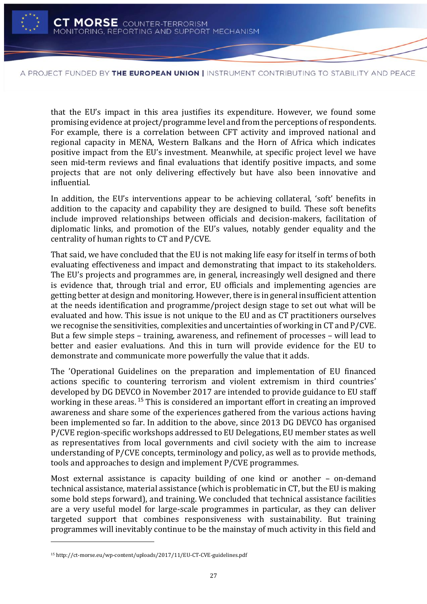

that the EU's impact in this area justifies its expenditure. However, we found some promising evidence at project/programme level and from the perceptions of respondents. For example, there is a correlation between CFT activity and improved national and regional capacity in MENA, Western Balkans and the Horn of Africa which indicates positive impact from the EU's investment. Meanwhile, at specific project level we have seen mid-term reviews and final evaluations that identify positive impacts, and some projects that are not only delivering effectively but have also been innovative and influential.

In addition, the EU's interventions appear to be achieving collateral, 'soft' benefits in addition to the capacity and capability they are designed to build. These soft benefits include improved relationships between officials and decision-makers, facilitation of diplomatic links, and promotion of the EU's values, notably gender equality and the centrality of human rights to CT and P/CVE.

That said, we have concluded that the EU is not making life easy for itself in terms of both evaluating effectiveness and impact and demonstrating that impact to its stakeholders. The EU's projects and programmes are, in general, increasingly well designed and there is evidence that, through trial and error, EU officials and implementing agencies are getting better at design and monitoring. However, there is in general insufficient attention at the needs identification and programme/project design stage to set out what will be evaluated and how. This issue is not unique to the EU and as CT practitioners ourselves we recognise the sensitivities, complexities and uncertainties of working in CT and P/CVE. But a few simple steps – training, awareness, and refinement of processes – will lead to better and easier evaluations. And this in turn will provide evidence for the EU to demonstrate and communicate more powerfully the value that it adds.

The 'Operational Guidelines on the preparation and implementation of EU financed actions specific to countering terrorism and violent extremism in third countries' developed by DG DEVCO in November 2017 are intended to provide guidance to EU staff working in these areas.<sup>15</sup> This is considered an important effort in creating an improved awareness and share some of the experiences gathered from the various actions having been implemented so far. In addition to the above, since 2013 DG DEVCO has organised P/CVE region-specific workshops addressed to EU Delegations, EU member states as well as representatives from local governments and civil society with the aim to increase understanding of P/CVE concepts, terminology and policy, as well as to provide methods, tools and approaches to design and implement P/CVE programmes.

Most external assistance is capacity building of one kind or another – on-demand technical assistance, material assistance (which is problematic in CT, but the EU is making some bold steps forward), and training. We concluded that technical assistance facilities are a very useful model for large-scale programmes in particular, as they can deliver targeted support that combines responsiveness with sustainability. But training programmes will inevitably continue to be the mainstay of much activity in this field and

l

<sup>15</sup> http://ct-morse.eu/wp-content/uploads/2017/11/EU-CT-CVE-guidelines.pdf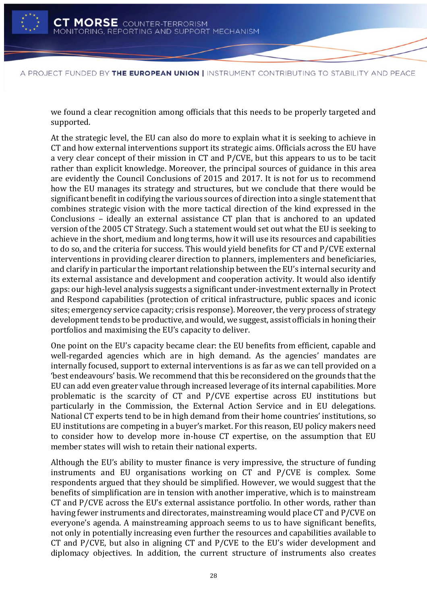

we found a clear recognition among officials that this needs to be properly targeted and supported.

At the strategic level, the EU can also do more to explain what it is seeking to achieve in CT and how external interventions support its strategic aims. Officials across the EU have a very clear concept of their mission in CT and P/CVE, but this appears to us to be tacit rather than explicit knowledge. Moreover, the principal sources of guidance in this area are evidently the Council Conclusions of 2015 and 2017. It is not for us to recommend how the EU manages its strategy and structures, but we conclude that there would be significant benefit in codifying the various sources of direction into a single statement that combines strategic vision with the more tactical direction of the kind expressed in the Conclusions – ideally an external assistance CT plan that is anchored to an updated version of the 2005 CT Strategy. Such a statement would set out what the EU is seeking to achieve in the short, medium and long terms, how it will use its resources and capabilities to do so, and the criteria for success. This would yield benefits for CT and P/CVE external interventions in providing clearer direction to planners, implementers and beneficiaries, and clarify in particular the important relationship between the EU's internal security and its external assistance and development and cooperation activity. It would also identify gaps: our high-level analysis suggests a significant under-investment externally in Protect and Respond capabilities (protection of critical infrastructure, public spaces and iconic sites; emergency service capacity; crisis response). Moreover, the very process of strategy development tends to be productive, and would, we suggest, assist officials in honing their portfolios and maximising the EU's capacity to deliver.

One point on the EU's capacity became clear: the EU benefits from efficient, capable and well-regarded agencies which are in high demand. As the agencies' mandates are internally focused, support to external interventions is as far as we can tell provided on a 'best endeavours' basis. We recommend that this be reconsidered on the grounds that the EU can add even greater value through increased leverage of its internal capabilities. More problematic is the scarcity of CT and P/CVE expertise across EU institutions but particularly in the Commission, the External Action Service and in EU delegations. National CT experts tend to be in high demand from their home countries' institutions, so EU institutions are competing in a buyer's market. For this reason, EU policy makers need to consider how to develop more in-house CT expertise, on the assumption that EU member states will wish to retain their national experts.

Although the EU's ability to muster finance is very impressive, the structure of funding instruments and EU organisations working on CT and P/CVE is complex. Some respondents argued that they should be simplified. However, we would suggest that the benefits of simplification are in tension with another imperative, which is to mainstream CT and P/CVE across the EU's external assistance portfolio. In other words, rather than having fewer instruments and directorates, mainstreaming would place CT and P/CVE on everyone's agenda. A mainstreaming approach seems to us to have significant benefits, not only in potentially increasing even further the resources and capabilities available to CT and P/CVE, but also in aligning CT and P/CVE to the EU's wider development and diplomacy objectives. In addition, the current structure of instruments also creates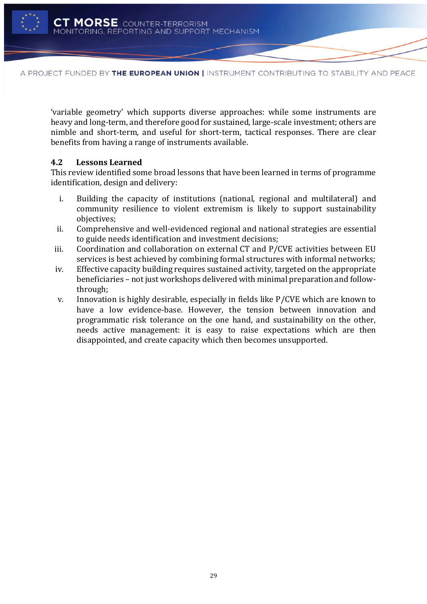

'variable geometry' which supports diverse approaches: while some instruments are heavy and long-term, and therefore good for sustained, large-scale investment; others are nimble and short-term, and useful for short-term, tactical responses. There are clear benefits from having a range of instruments available.

# <span id="page-31-0"></span>**4.2 Lessons Learned**

This review identified some broad lessons that have been learned in terms of programme identification, design and delivery:

- i. Building the capacity of institutions (national, regional and multilateral) and community resilience to violent extremism is likely to support sustainability objectives;
- ii. Comprehensive and well-evidenced regional and national strategies are essential to guide needs identification and investment decisions;
- iii. Coordination and collaboration on external CT and P/CVE activities between EU services is best achieved by combining formal structures with informal networks;
- iv. Effective capacity building requires sustained activity, targeted on the appropriate beneficiaries – not just workshops delivered with minimal preparation and followthrough;
- v. Innovation is highly desirable, especially in fields like P/CVE which are known to have a low evidence-base. However, the tension between innovation and programmatic risk tolerance on the one hand, and sustainability on the other, needs active management: it is easy to raise expectations which are then disappointed, and create capacity which then becomes unsupported.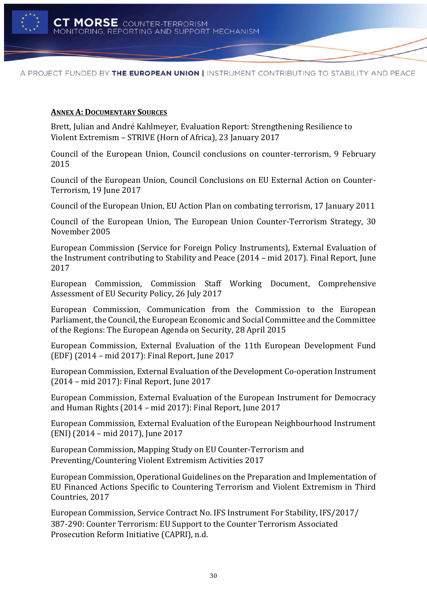

### <span id="page-32-0"></span>**ANNEX A: DOCUMENTARY SOURCES**

Brett, Julian and André Kahlmeyer, Evaluation Report: Strengthening Resilience to Violent Extremism – STRIVE (Horn of Africa), 23 January 2017

Council of the European Union, Council conclusions on counter-terrorism, 9 February 2015

Council of the European Union, Council Conclusions on EU External Action on Counter-Terrorism, 19 June 2017

Council of the European Union, EU Action Plan on combating terrorism, 17 January 2011

Council of the European Union, The European Union Counter-Terrorism Strategy, 30 November 2005

European Commission (Service for Foreign Policy Instruments), External Evaluation of the Instrument contributing to Stability and Peace (2014 – mid 2017). Final Report, June 2017

European Commission, Commission Staff Working Document, Comprehensive Assessment of EU Security Policy, 26 July 2017

European Commission, Communication from the Commission to the European Parliament, the Council, the European Economic and Social Committee and the Committee of the Regions: The European Agenda on Security, 28 April 2015

European Commission, External Evaluation of the 11th European Development Fund (EDF) (2014 – mid 2017): Final Report, June 2017

European Commission, External Evaluation of the Development Co-operation Instrument (2014 – mid 2017): Final Report, June 2017

European Commission, External Evaluation of the European Instrument for Democracy and Human Rights (2014 – mid 2017): Final Report, June 2017

European Commission, External Evaluation of the European Neighbourhood Instrument (ENI) (2014 – mid 2017), June 2017

European Commission, Mapping Study on EU Counter-Terrorism and Preventing/Countering Violent Extremism Activities 2017

European Commission, Operational Guidelines on the Preparation and Implementation of EU Financed Actions Specific to Countering Terrorism and Violent Extremism in Third Countries, 2017

European Commission, Service Contract No. IFS Instrument For Stability, IFS/2017/ 387-290: Counter Terrorism: EU Support to the Counter Terrorism Associated Prosecution Reform Initiative (CAPRI), n.d.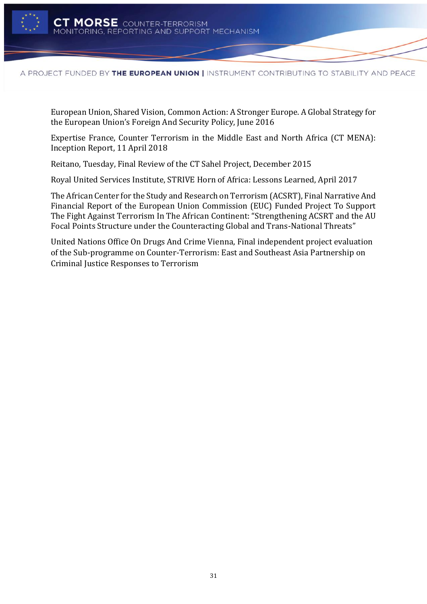

European Union, Shared Vision, Common Action: A Stronger Europe. A Global Strategy for the European Union's Foreign And Security Policy, June 2016

Expertise France, Counter Terrorism in the Middle East and North Africa (CT MENA): Inception Report, 11 April 2018

Reitano, Tuesday, Final Review of the CT Sahel Project, December 2015

Royal United Services Institute, STRIVE Horn of Africa: Lessons Learned, April 2017

The African Center for the Study and Research on Terrorism (ACSRT), Final Narrative And Financial Report of the European Union Commission (EUC) Funded Project To Support The Fight Against Terrorism In The African Continent: "Strengthening ACSRT and the AU Focal Points Structure under the Counteracting Global and Trans-National Threats"

United Nations Office On Drugs And Crime Vienna, Final independent project evaluation of the Sub-programme on Counter-Terrorism: East and Southeast Asia Partnership on Criminal Justice Responses to Terrorism